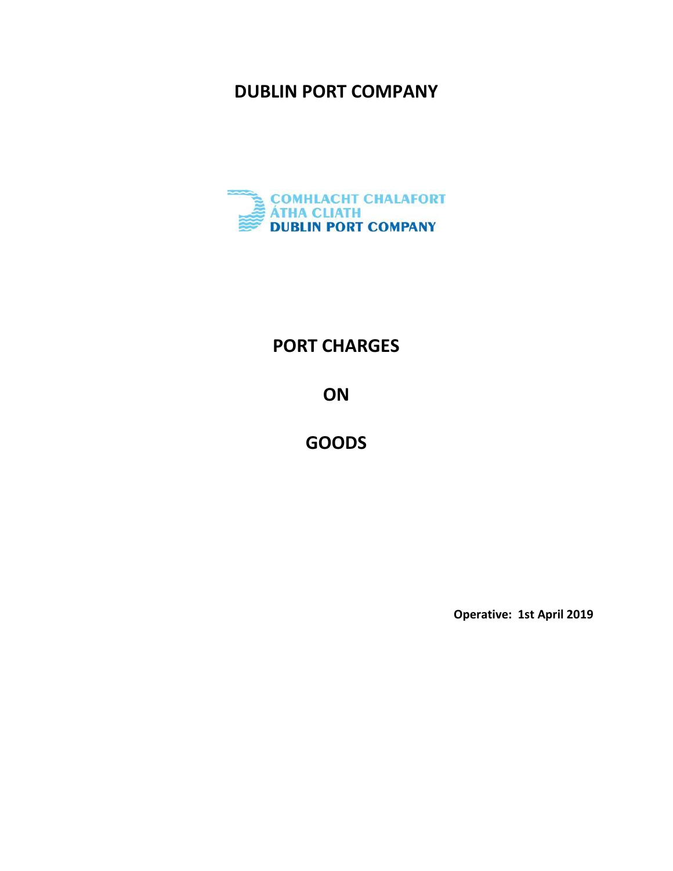## **DUBLIN PORT COMPANY**



# **PORT CHARGES**

**ON**

**GOODS**

**Operative: 1st April 2019**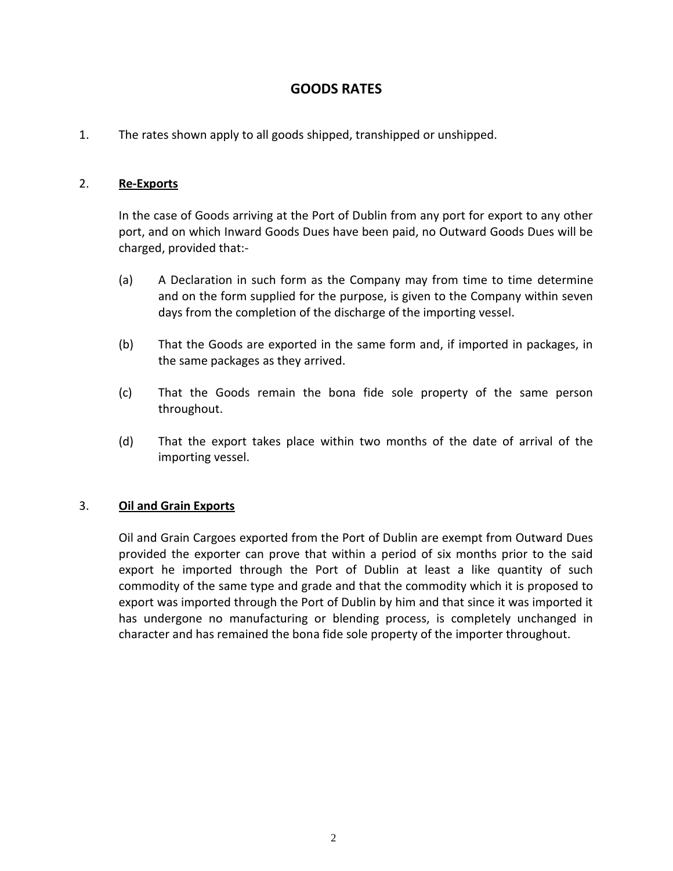### **GOODS RATES**

1. The rates shown apply to all goods shipped, transhipped or unshipped.

### 2. **Re-Exports**

In the case of Goods arriving at the Port of Dublin from any port for export to any other port, and on which Inward Goods Dues have been paid, no Outward Goods Dues will be charged, provided that:-

- (a) A Declaration in such form as the Company may from time to time determine and on the form supplied for the purpose, is given to the Company within seven days from the completion of the discharge of the importing vessel.
- (b) That the Goods are exported in the same form and, if imported in packages, in the same packages as they arrived.
- (c) That the Goods remain the bona fide sole property of the same person throughout.
- (d) That the export takes place within two months of the date of arrival of the importing vessel.

### 3. **Oil and Grain Exports**

Oil and Grain Cargoes exported from the Port of Dublin are exempt from Outward Dues provided the exporter can prove that within a period of six months prior to the said export he imported through the Port of Dublin at least a like quantity of such commodity of the same type and grade and that the commodity which it is proposed to export was imported through the Port of Dublin by him and that since it was imported it has undergone no manufacturing or blending process, is completely unchanged in character and has remained the bona fide sole property of the importer throughout.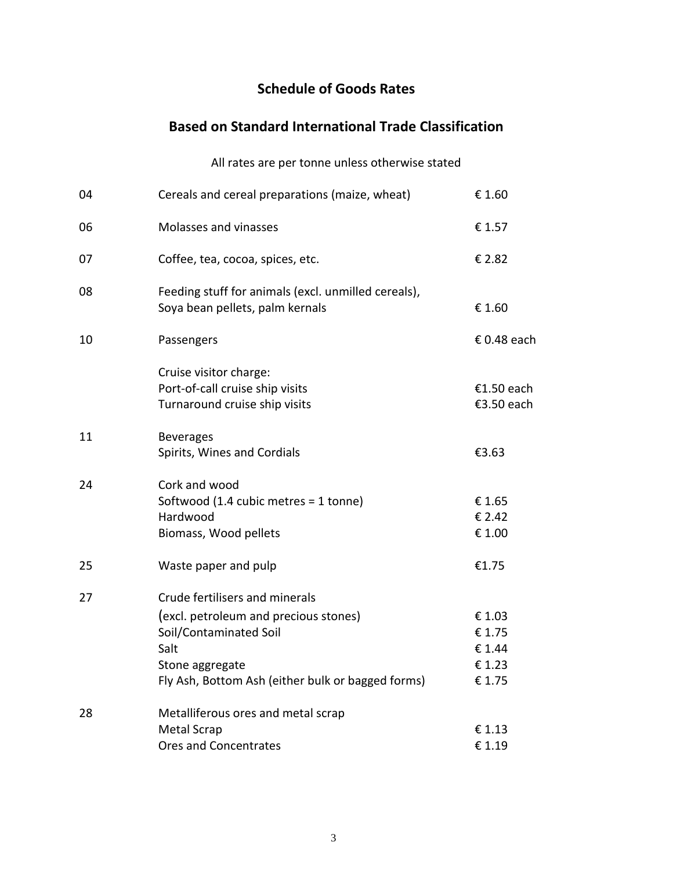### **Schedule of Goods Rates**

# **Based on Standard International Trade Classification**

|    | All rates are per tonne unless otherwise stated                                                                                                                                   |                                               |
|----|-----------------------------------------------------------------------------------------------------------------------------------------------------------------------------------|-----------------------------------------------|
| 04 | Cereals and cereal preparations (maize, wheat)                                                                                                                                    | € 1.60                                        |
| 06 | Molasses and vinasses                                                                                                                                                             | € 1.57                                        |
| 07 | Coffee, tea, cocoa, spices, etc.                                                                                                                                                  | € 2.82                                        |
| 08 | Feeding stuff for animals (excl. unmilled cereals),<br>Soya bean pellets, palm kernals                                                                                            | € 1.60                                        |
| 10 | Passengers                                                                                                                                                                        | € 0.48 each                                   |
|    | Cruise visitor charge:<br>Port-of-call cruise ship visits<br>Turnaround cruise ship visits                                                                                        | €1.50 each<br>€3.50 each                      |
| 11 | <b>Beverages</b><br>Spirits, Wines and Cordials                                                                                                                                   | €3.63                                         |
| 24 | Cork and wood<br>Softwood (1.4 cubic metres = 1 tonne)<br>Hardwood<br>Biomass, Wood pellets                                                                                       | € 1.65<br>€ 2.42<br>€ 1.00                    |
| 25 | Waste paper and pulp                                                                                                                                                              | €1.75                                         |
| 27 | Crude fertilisers and minerals<br>(excl. petroleum and precious stones)<br>Soil/Contaminated Soil<br>Salt<br>Stone aggregate<br>Fly Ash, Bottom Ash (either bulk or bagged forms) | € 1.03<br>€ 1.75<br>€ 1.44<br>€1.23<br>€ 1.75 |
| 28 | Metalliferous ores and metal scrap<br>Metal Scrap                                                                                                                                 | €1.13                                         |

Ores and Concentrates **€** 1.19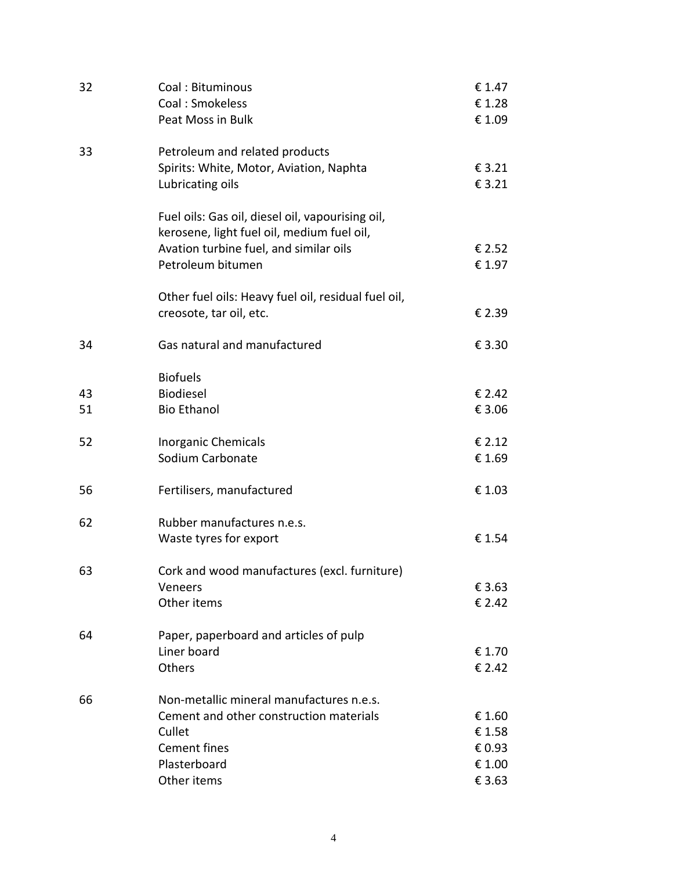| 32 | Coal: Bituminous                                                                               | € 1.47 |
|----|------------------------------------------------------------------------------------------------|--------|
|    | Coal: Smokeless                                                                                | €1.28  |
|    | Peat Moss in Bulk                                                                              | € 1.09 |
| 33 | Petroleum and related products                                                                 |        |
|    | Spirits: White, Motor, Aviation, Naphta                                                        | € 3.21 |
|    | Lubricating oils                                                                               | € 3.21 |
|    | Fuel oils: Gas oil, diesel oil, vapourising oil,<br>kerosene, light fuel oil, medium fuel oil, |        |
|    | Avation turbine fuel, and similar oils                                                         | € 2.52 |
|    | Petroleum bitumen                                                                              | € 1.97 |
|    | Other fuel oils: Heavy fuel oil, residual fuel oil,                                            |        |
|    | creosote, tar oil, etc.                                                                        | € 2.39 |
| 34 | Gas natural and manufactured                                                                   | € 3.30 |
|    | <b>Biofuels</b>                                                                                |        |
| 43 | <b>Biodiesel</b>                                                                               | € 2.42 |
| 51 | <b>Bio Ethanol</b>                                                                             | € 3.06 |
| 52 | <b>Inorganic Chemicals</b>                                                                     | € 2.12 |
|    | Sodium Carbonate                                                                               | € 1.69 |
| 56 | Fertilisers, manufactured                                                                      | € 1.03 |
| 62 | Rubber manufactures n.e.s.                                                                     |        |
|    | Waste tyres for export                                                                         | € 1.54 |
| 63 | Cork and wood manufactures (excl. furniture)                                                   |        |
|    | Veneers                                                                                        | € 3.63 |
|    | Other items                                                                                    | € 2.42 |
| 64 | Paper, paperboard and articles of pulp                                                         |        |
|    | Liner board                                                                                    | € 1.70 |
|    | Others                                                                                         | € 2.42 |
| 66 | Non-metallic mineral manufactures n.e.s.                                                       |        |
|    | Cement and other construction materials                                                        | € 1.60 |
|    | Cullet                                                                                         | € 1.58 |
|    | <b>Cement fines</b>                                                                            | € 0.93 |
|    | Plasterboard                                                                                   | € 1.00 |
|    | Other items                                                                                    | € 3.63 |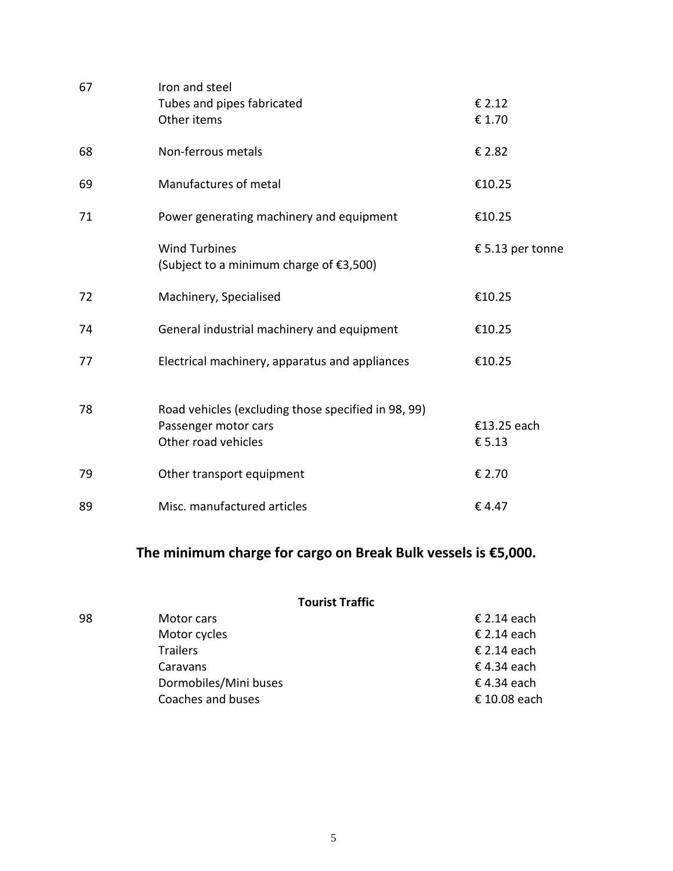| 67 | Iron and steel<br>Tubes and pipes fabricated<br>Other items                                        | € 2.12<br>€ 1.70      |
|----|----------------------------------------------------------------------------------------------------|-----------------------|
| 68 | Non-ferrous metals                                                                                 | € 2.82                |
| 69 | Manufactures of metal                                                                              | €10.25                |
| 71 | Power generating machinery and equipment                                                           | €10.25                |
|    | <b>Wind Turbines</b><br>(Subject to a minimum charge of €3,500)                                    | € 5.13 per tonne      |
| 72 | Machinery, Specialised                                                                             | €10.25                |
| 74 | General industrial machinery and equipment                                                         | €10.25                |
| 77 | Electrical machinery, apparatus and appliances                                                     | €10.25                |
| 78 | Road vehicles (excluding those specified in 98, 99)<br>Passenger motor cars<br>Other road vehicles | €13.25 each<br>€ 5.13 |
| 79 | Other transport equipment                                                                          | € 2.70                |
| 89 | Misc. manufactured articles                                                                        | €4.47                 |

# **The minimum charge for cargo on Break Bulk vessels is €5,000.**

|    | <b>Tourist Traffic</b> |              |
|----|------------------------|--------------|
| 98 | Motor cars             | € 2.14 each  |
|    | Motor cycles           | € 2.14 each  |
|    | <b>Trailers</b>        | € 2.14 each  |
|    | Caravans               | € 4.34 each  |
|    | Dormobiles/Mini buses  | € 4.34 each  |
|    | Coaches and buses      | € 10.08 each |
|    |                        |              |